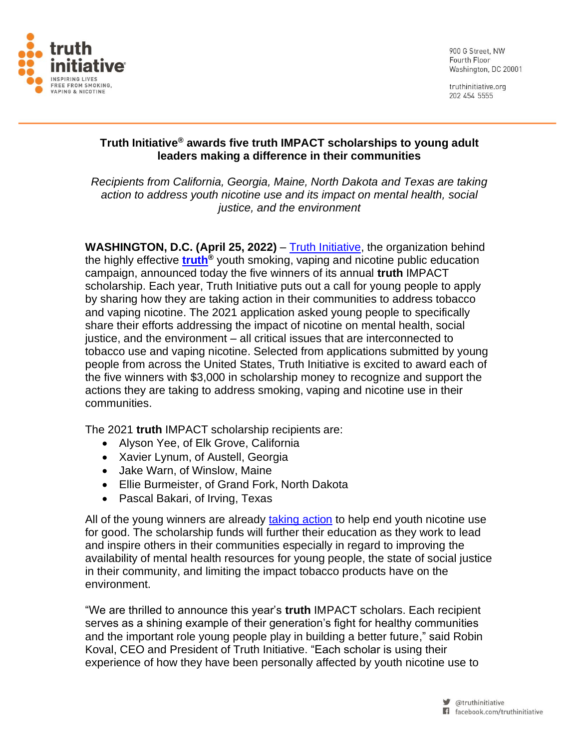

900 G Street NW Fourth Floor Washington, DC 20001

truthinitiative.org 202 454 5555

# **Truth Initiative® awards five truth IMPACT scholarships to young adult leaders making a difference in their communities**

*Recipients from California, Georgia, Maine, North Dakota and Texas are taking action to address youth nicotine use and its impact on mental health, social justice, and the environment*

**WASHINGTON, D.C. (April 25, 2022)** – [Truth Initiative,](https://truthinitiative.org/) the organization behind the highly effective **[truth](https://thetruth.com/)®** youth smoking, vaping and nicotine public education campaign, announced today the five winners of its annual **truth** IMPACT scholarship. Each year, Truth Initiative puts out a call for young people to apply by sharing how they are taking action in their communities to address tobacco and vaping nicotine. The 2021 application asked young people to specifically share their efforts addressing the impact of nicotine on mental health, social justice, and the environment – all critical issues that are interconnected to tobacco use and vaping nicotine. Selected from applications submitted by young people from across the United States, Truth Initiative is excited to award each of the five winners with \$3,000 in scholarship money to recognize and support the actions they are taking to address smoking, vaping and nicotine use in their communities.

The 2021 **truth** IMPACT scholarship recipients are:

- Alyson Yee, of Elk Grove, California
- Xavier Lynum, of Austell, Georgia
- Jake Warn, of Winslow, Maine
- Ellie Burmeister, of Grand Fork, North Dakota
- Pascal Bakari, of Irving, Texas

All of the young winners are already [taking action](https://www.thetruth.com/take-action) to help end youth nicotine use for good. The scholarship funds will further their education as they work to lead and inspire others in their communities especially in regard to improving the availability of mental health resources for young people, the state of social justice in their community, and limiting the impact tobacco products have on the environment.

"We are thrilled to announce this year's **truth** IMPACT scholars. Each recipient serves as a shining example of their generation's fight for healthy communities and the important role young people play in building a better future," said Robin Koval, CEO and President of Truth Initiative. "Each scholar is using their experience of how they have been personally affected by youth nicotine use to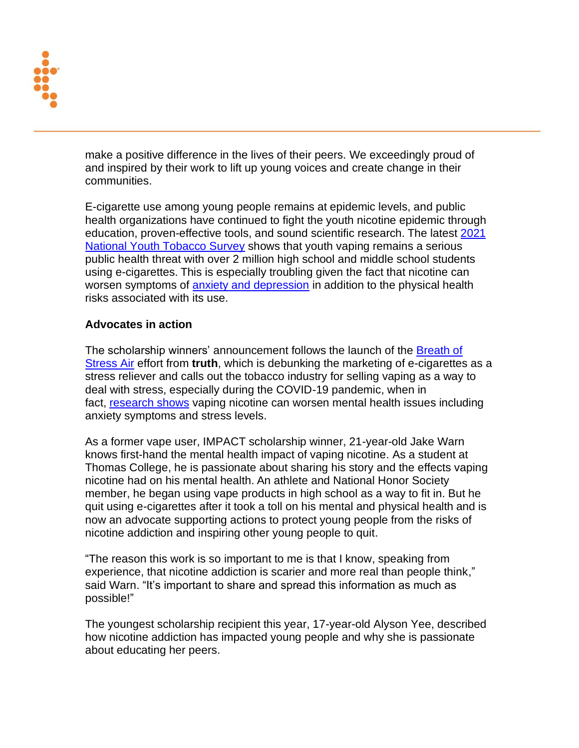

make a positive difference in the lives of their peers. We exceedingly proud of and inspired by their work to lift up young voices and create change in their communities.

E-cigarette use among young people remains at epidemic levels, and public health organizations have continued to fight the youth nicotine epidemic through education, proven-effective tools, and sound scientific research. The latest [2021](https://www.cdc.gov/mmwr/volumes/70/wr/mm7039a4.htm?s_cid=mm7039a4_w)  [National Youth Tobacco Survey](https://www.cdc.gov/mmwr/volumes/70/wr/mm7039a4.htm?s_cid=mm7039a4_w) shows that youth vaping remains a serious public health threat with over 2 million high school and middle school students using e-cigarettes. This is especially troubling given the fact that nicotine can worsen symptoms of [anxiety and depression](https://truthinitiative.org/research-resources/emerging-tobacco-products/colliding-crises-youth-mental-health-and-nicotine-use) in addition to the physical health risks associated with its use.

### **Advocates in action**

The scholarship winners' announcement follows the launch of the Breath of [Stress Air](https://truthinitiative.org/research-resources/emerging-tobacco-products/breath-stress-air-calling-vape-what-it-truly) effort from **truth**, which is debunking the marketing of e-cigarettes as a stress reliever and calls out the tobacco industry for selling vaping as a way to deal with stress, especially during the COVID-19 pandemic, when in fact, [research shows](https://truthinitiative.org/research-resources/emerging-tobacco-products/nicotine-use-and-stress) vaping nicotine can worsen mental health issues including anxiety symptoms and stress levels.

As a former vape user, IMPACT scholarship winner, 21-year-old Jake Warn knows first-hand the mental health impact of vaping nicotine. As a student at Thomas College, he is passionate about sharing his story and the effects vaping nicotine had on his mental health. An athlete and National Honor Society member, he began using vape products in high school as a way to fit in. But he quit using e-cigarettes after it took a toll on his mental and physical health and is now an advocate supporting actions to protect young people from the risks of nicotine addiction and inspiring other young people to quit.

"The reason this work is so important to me is that I know, speaking from experience, that nicotine addiction is scarier and more real than people think," said Warn. "It's important to share and spread this information as much as possible!"

The youngest scholarship recipient this year, 17-year-old Alyson Yee, described how nicotine addiction has impacted young people and why she is passionate about educating her peers.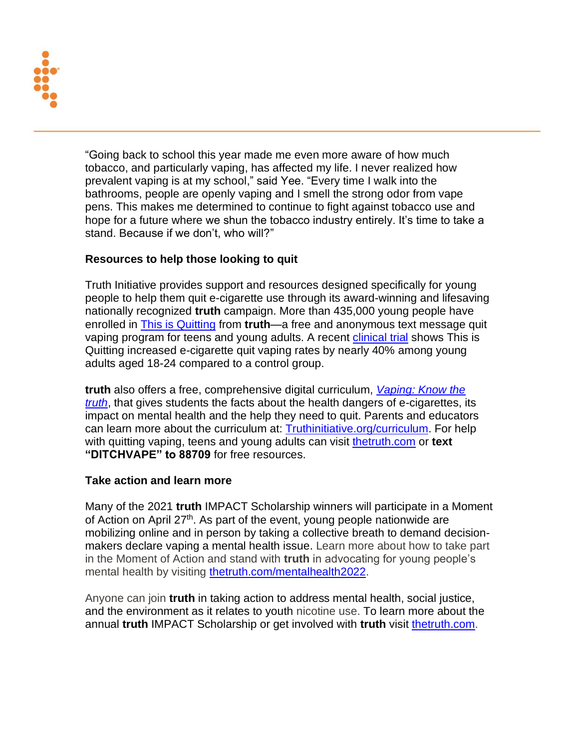

"Going back to school this year made me even more aware of how much tobacco, and particularly vaping, has affected my life. I never realized how prevalent vaping is at my school," said Yee. "Every time I walk into the bathrooms, people are openly vaping and I smell the strong odor from vape pens. This makes me determined to continue to fight against tobacco use and hope for a future where we shun the tobacco industry entirely. It's time to take a stand. Because if we don't, who will?"

# **Resources to help those looking to quit**

Truth Initiative provides support and resources designed specifically for young people to help them quit e-cigarette use through its award-winning and lifesaving nationally recognized **truth** campaign. More than 435,000 young people have enrolled in [This is Quitting](https://c212.net/c/link/?t=0&l=en&o=3409809-1&h=461862032&u=https%3A%2F%2Ftruthinitiative.org%2Fthisisquitting&a=This+is+Quitting) from **truth**—a free and anonymous text message quit vaping program for teens and young adults. A recent [clinical trial](https://truthinitiative.org/press/press-release/truth-initiatives-quit-vaping-program-effective-helping-18-24-year-olds) shows This is Quitting increased e-cigarette quit vaping rates by nearly 40% among young adults aged 18-24 compared to a control group.

**truth** also offers a free, comprehensive digital curriculum, *[Vaping: Know the](https://truthinitiative.org/curriculum)  [truth](https://truthinitiative.org/curriculum)*, that gives students the facts about the health dangers of e-cigarettes, its impact on mental health and the help they need to quit. Parents and educators can learn more about the curriculum at: [Truthinitiative.org/curriculum.](https://truthinitiative.org/curriculum) For help with quitting vaping, teens and young adults can visit [thetruth.com](https://www.thetruth.com/) or **text "DITCHVAPE" to 88709** for free resources.

### **Take action and learn more**

Many of the 2021 **truth** IMPACT Scholarship winners will participate in a Moment of Action on April 27<sup>th</sup>. As part of the event, young people nationwide are mobilizing online and in person by taking a collective breath to demand decisionmakers declare vaping a mental health issue. Learn more about how to take part in the Moment of Action and stand with **truth** in advocating for young people's mental health by visiting [thetruth.com/mentalhealth2022.](https://www.thetruth.com/take-action/campaign/2022-mental-health-campaign)

Anyone can join **truth** in taking action to address mental health, social justice, and the environment as it relates to youth nicotine use. To learn more about the annual **truth** IMPACT Scholarship or get involved with **truth** visit [thetruth.com.](https://www.thetruth.com/)